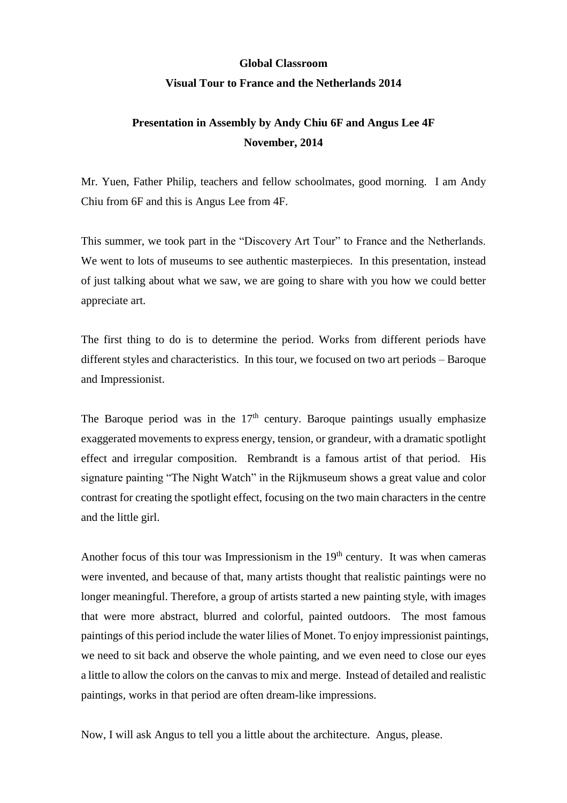## **Global Classroom**

## **Visual Tour to France and the Netherlands 2014**

## **Presentation in Assembly by Andy Chiu 6F and Angus Lee 4F November, 2014**

Mr. Yuen, Father Philip, teachers and fellow schoolmates, good morning. I am Andy Chiu from 6F and this is Angus Lee from 4F.

This summer, we took part in the "Discovery Art Tour" to France and the Netherlands. We went to lots of museums to see authentic masterpieces. In this presentation, instead of just talking about what we saw, we are going to share with you how we could better appreciate art.

The first thing to do is to determine the period. Works from different periods have different styles and characteristics. In this tour, we focused on two art periods – Baroque and Impressionist.

The Baroque period was in the  $17<sup>th</sup>$  century. Baroque paintings usually emphasize exaggerated movements to express energy, tension, or grandeur, with a dramatic spotlight effect and irregular composition. Rembrandt is a famous artist of that period. His signature painting "The Night Watch" in the Rijkmuseum shows a great value and color contrast for creating the spotlight effect, focusing on the two main characters in the centre and the little girl.

Another focus of this tour was Impressionism in the  $19<sup>th</sup>$  century. It was when cameras were invented, and because of that, many artists thought that realistic paintings were no longer meaningful. Therefore, a group of artists started a new painting style, with images that were more abstract, blurred and colorful, painted outdoors. The most famous paintings of this period include the water lilies of Monet. To enjoy impressionist paintings, we need to sit back and observe the whole painting, and we even need to close our eyes a little to allow the colors on the canvas to mix and merge. Instead of detailed and realistic paintings, works in that period are often dream-like impressions.

Now, I will ask Angus to tell you a little about the architecture. Angus, please.